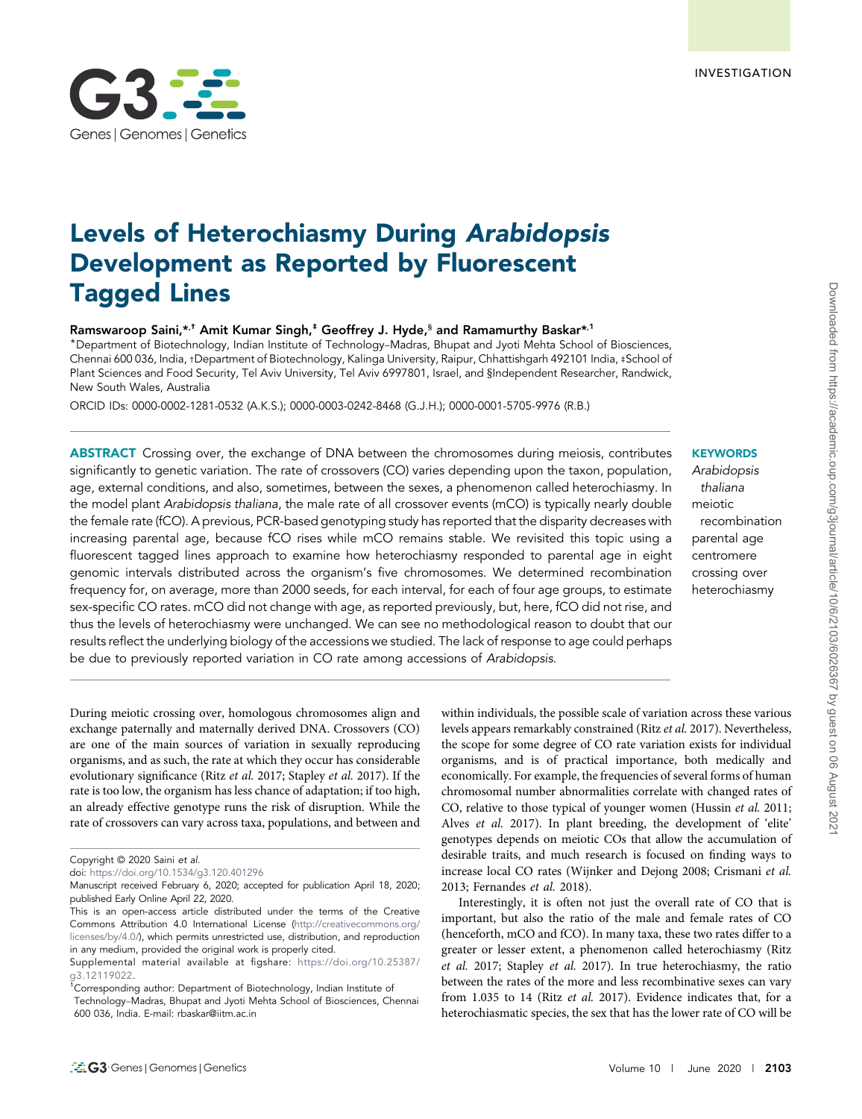# Levels of Heterochiasmy During Arabidopsis Development as Reported by Fluorescent Tagged Lines

Ramswaroop Saini,\*<sup>,†</sup> Amit Kumar Singh,<sup>‡</sup> Geoffrey J. Hyde, $^{\$}$  and Ramamurthy Baskar\*<sup>,1</sup>

\*Department of Biotechnology, Indian Institute of Technology–Madras, Bhupat and Jyoti Mehta School of Biosciences, Chennai 600 036, India, †Department of Biotechnology, Kalinga University, Raipur, Chhattishgarh 492101 India, ‡School of Plant Sciences and Food Security, Tel Aviv University, Tel Aviv 6997801, Israel, and §Independent Researcher, Randwick, New South Wales, Australia

ORCID IDs: 0000-0002-1281-0532 (A.K.S.); 0000-0003-0242-8468 (G.J.H.); 0000-0001-5705-9976 (R.B.)

ABSTRACT Crossing over, the exchange of DNA between the chromosomes during meiosis, contributes significantly to genetic variation. The rate of crossovers (CO) varies depending upon the taxon, population, age, external conditions, and also, sometimes, between the sexes, a phenomenon called heterochiasmy. In the model plant Arabidopsis thaliana, the male rate of all crossover events (mCO) is typically nearly double the female rate (fCO). A previous, PCR-based genotyping study has reported that the disparity decreases with increasing parental age, because fCO rises while mCO remains stable. We revisited this topic using a fluorescent tagged lines approach to examine how heterochiasmy responded to parental age in eight genomic intervals distributed across the organism's five chromosomes. We determined recombination frequency for, on average, more than 2000 seeds, for each interval, for each of four age groups, to estimate sex-specific CO rates. mCO did not change with age, as reported previously, but, here, fCO did not rise, and thus the levels of heterochiasmy were unchanged. We can see no methodological reason to doubt that our results reflect the underlying biology of the accessions we studied. The lack of response to age could perhaps be due to previously reported variation in CO rate among accessions of Arabidopsis.

During meiotic crossing over, homologous chromosomes align and exchange paternally and maternally derived DNA. Crossovers (CO) are one of the main sources of variation in sexually reproducing organisms, and as such, the rate at which they occur has considerable evolutionary significance (Ritz *et al.* 2017; Stapley *et al.* 2017). If the rate is too low, the organism has less chance of adaptation; if too high, an already effective genotype runs the risk of disruption. While the rate of crossovers can vary across taxa, populations, and between and

<sup>1</sup>Corresponding author: Department of Biotechnology, Indian Institute of

# within individuals, the possible scale of variation across these various levels appears remarkably constrained (Ritz *et al.* 2017). Nevertheless, the scope for some degree of CO rate variation exists for individual organisms, and is of practical importance, both medically and economically. For example, the frequencies of several forms of human chromosomal number abnormalities correlate with changed rates of CO, relative to those typical of younger women (Hussin *et al.* 2011; Alves *et al.* 2017). In plant breeding, the development of 'elite' genotypes depends on meiotic COs that allow the accumulation of desirable traits, and much research is focused on finding ways to increase local CO rates (Wijnker and Dejong 2008; Crismani *et al.* 2013; Fernandes *et al.* 2018).

Interestingly, it is often not just the overall rate of CO that is important, but also the ratio of the male and female rates of CO (henceforth, mCO and fCO). In many taxa, these two rates differ to a greater or lesser extent, a phenomenon called heterochiasmy (Ritz *et al.* 2017; Stapley *et al.* 2017). In true heterochiasmy, the ratio between the rates of the more and less recombinative sexes can vary from 1.035 to 14 (Ritz *et al.* 2017). Evidence indicates that, for a heterochiasmatic species, the sex that has the lower rate of CO will be

# **KEYWORDS**

Arabidopsis thaliana meiotic recombination parental age centromere crossing over heterochiasmy



Copyright © 2020 Saini et al.

doi: https://doi.org/10.1534/g3.120.401296

Manuscript received February 6, 2020; accepted for publication April 18, 2020; published Early Online April 22, 2020.

This is an open-access article distributed under the terms of the Creative Commons Attribution 4.0 International License (http://creativecommons.org/ licenses/by/4.0/), which permits unrestricted use, distribution, and reproduction in any medium, provided the original work is properly cited.

Supplemental material available at figshare: https://doi.org/10.25387/ g3.12119022.

Technology–Madras, Bhupat and Jyoti Mehta School of Biosciences, Chennai 600 036, India. E-mail: rbaskar@iitm.ac.in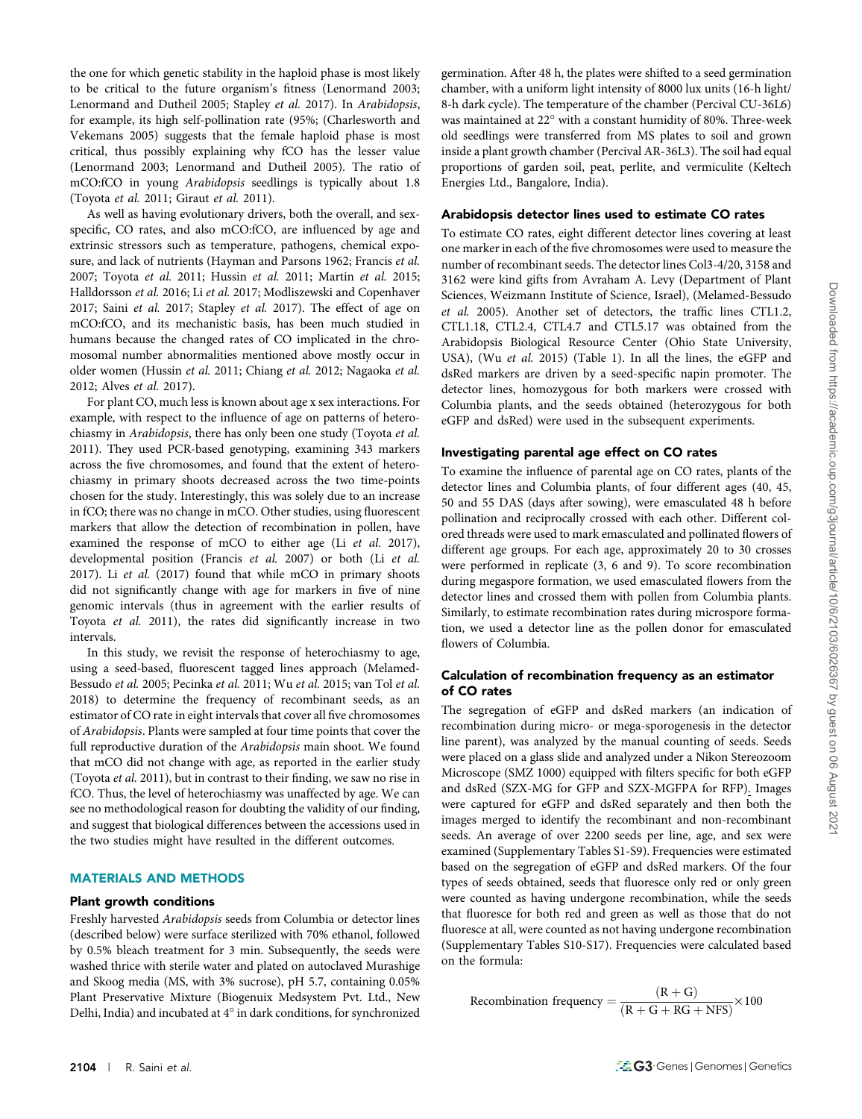the one for which genetic stability in the haploid phase is most likely to be critical to the future organism's fitness (Lenormand 2003; Lenormand and Dutheil 2005; Stapley *et al.* 2017). In *Arabidopsis*, for example, its high self-pollination rate (95%; (Charlesworth and Vekemans 2005) suggests that the female haploid phase is most critical, thus possibly explaining why fCO has the lesser value (Lenormand 2003; Lenormand and Dutheil 2005). The ratio of mCO:fCO in young *Arabidopsis* seedlings is typically about 1.8 (Toyota *et al.* 2011; Giraut *et al.* 2011).

As well as having evolutionary drivers, both the overall, and sexspecific, CO rates, and also mCO:fCO, are influenced by age and extrinsic stressors such as temperature, pathogens, chemical exposure, and lack of nutrients (Hayman and Parsons 1962; Francis *et al.* 2007; Toyota *et al.* 2011; Hussin *et al.* 2011; Martin *et al.* 2015; Halldorsson *et al.* 2016; Li *et al.* 2017; Modliszewski and Copenhaver 2017; Saini *et al.* 2017; Stapley *et al.* 2017). The effect of age on mCO:fCO, and its mechanistic basis, has been much studied in humans because the changed rates of CO implicated in the chromosomal number abnormalities mentioned above mostly occur in older women (Hussin *et al.* 2011; Chiang *et al.* 2012; Nagaoka *et al.* 2012; Alves *et al.* 2017).

For plant CO, much less is known about age x sex interactions. For example, with respect to the influence of age on patterns of heterochiasmy in *Arabidopsis*, there has only been one study (Toyota *et al.* 2011). They used PCR-based genotyping, examining 343 markers across the five chromosomes, and found that the extent of heterochiasmy in primary shoots decreased across the two time-points chosen for the study. Interestingly, this was solely due to an increase in fCO; there was no change in mCO. Other studies, using fluorescent markers that allow the detection of recombination in pollen, have examined the response of mCO to either age (Li *et al.* 2017), developmental position (Francis *et al.* 2007) or both (Li *et al.* 2017). Li *et al.* (2017) found that while mCO in primary shoots did not significantly change with age for markers in five of nine genomic intervals (thus in agreement with the earlier results of Toyota *et al.* 2011), the rates did significantly increase in two intervals.

In this study, we revisit the response of heterochiasmy to age, using a seed-based, fluorescent tagged lines approach (Melamed-Bessudo *et al.* 2005; Pecinka *et al.* 2011; Wu *et al.* 2015; van Tol *et al.* 2018) to determine the frequency of recombinant seeds, as an estimator of CO rate in eight intervals that cover all five chromosomes of *Arabidopsis*. Plants were sampled at four time points that cover the full reproductive duration of the *Arabidopsis* main shoot. We found that mCO did not change with age, as reported in the earlier study (Toyota *et al.* 2011), but in contrast to their finding, we saw no rise in fCO. Thus, the level of heterochiasmy was unaffected by age. We can see no methodological reason for doubting the validity of our finding, and suggest that biological differences between the accessions used in the two studies might have resulted in the different outcomes.

## MATERIALS AND METHODS

#### Plant growth conditions

Freshly harvested *Arabidopsis* seeds from Columbia or detector lines (described below) were surface sterilized with 70% ethanol, followed by 0.5% bleach treatment for 3 min. Subsequently, the seeds were washed thrice with sterile water and plated on autoclaved Murashige and Skoog media (MS, with 3% sucrose), pH 5.7, containing 0.05% Plant Preservative Mixture (Biogenuix Medsystem Pvt. Ltd., New Delhi, India) and incubated at  $4^\circ$  in dark conditions, for synchronized

germination. After 48 h, the plates were shifted to a seed germination chamber, with a uniform light intensity of 8000 lux units (16-h light/ 8-h dark cycle). The temperature of the chamber (Percival CU-36L6) was maintained at 22° with a constant humidity of 80%. Three-week old seedlings were transferred from MS plates to soil and grown inside a plant growth chamber (Percival AR-36L3). The soil had equal proportions of garden soil, peat, perlite, and vermiculite (Keltech Energies Ltd., Bangalore, India).

#### Arabidopsis detector lines used to estimate CO rates

To estimate CO rates, eight different detector lines covering at least one marker in each of the five chromosomes were used to measure the number of recombinant seeds. The detector lines Col3-4/20, 3158 and 3162 were kind gifts from Avraham A. Levy (Department of Plant Sciences, Weizmann Institute of Science, Israel), (Melamed-Bessudo *et al.* 2005). Another set of detectors, the traffic lines CTL1.2, CTL1.18, CTL2.4, CTL4.7 and CTL5.17 was obtained from the Arabidopsis Biological Resource Center (Ohio State University, USA), (Wu *et al.* 2015) (Table 1). In all the lines, the eGFP and dsRed markers are driven by a seed-specific napin promoter. The detector lines, homozygous for both markers were crossed with Columbia plants, and the seeds obtained (heterozygous for both eGFP and dsRed) were used in the subsequent experiments.

#### Investigating parental age effect on CO rates

To examine the influence of parental age on CO rates, plants of the detector lines and Columbia plants, of four different ages (40, 45, 50 and 55 DAS (days after sowing), were emasculated 48 h before pollination and reciprocally crossed with each other. Different colored threads were used to mark emasculated and pollinated flowers of different age groups. For each age, approximately 20 to 30 crosses were performed in replicate (3, 6 and 9). To score recombination during megaspore formation, we used emasculated flowers from the detector lines and crossed them with pollen from Columbia plants. Similarly, to estimate recombination rates during microspore formation, we used a detector line as the pollen donor for emasculated flowers of Columbia.

## Calculation of recombination frequency as an estimator of CO rates

The segregation of eGFP and dsRed markers (an indication of recombination during micro- or mega-sporogenesis in the detector line parent), was analyzed by the manual counting of seeds. Seeds were placed on a glass slide and analyzed under a Nikon Stereozoom Microscope (SMZ 1000) equipped with filters specific for both eGFP and dsRed (SZX-MG for GFP and SZX-MGFPA for RFP). Images were captured for eGFP and dsRed separately and then both the images merged to identify the recombinant and non-recombinant seeds. An average of over 2200 seeds per line, age, and sex were examined (Supplementary Tables S1-S9). Frequencies were estimated based on the segregation of eGFP and dsRed markers. Of the four types of seeds obtained, seeds that fluoresce only red or only green were counted as having undergone recombination, while the seeds that fluoresce for both red and green as well as those that do not fluoresce at all, were counted as not having undergone recombination (Supplementary Tables S10-S17). Frequencies were calculated based on the formula:

Recombination frequency = 
$$
\frac{(R+G)}{(R+G+RG+NFS)} \times 100
$$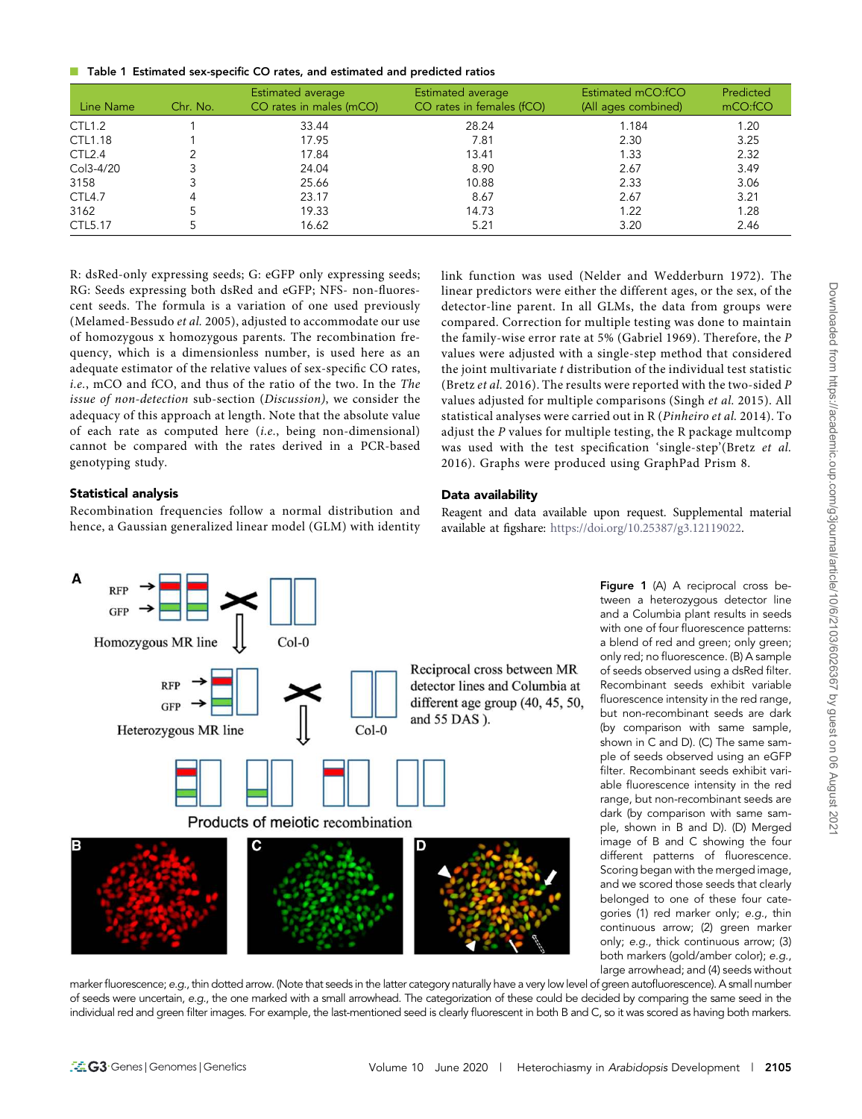■ Table 1 Estimated sex-specific CO rates, and estimated and predicted ratios

| Line Name          | Chr. No. | <b>Estimated average</b><br>CO rates in males (mCO) | Estimated average<br>CO rates in females (fCO) | Estimated mCO:fCO<br>(All ages combined) | Predicted<br>mCO:fCO |
|--------------------|----------|-----------------------------------------------------|------------------------------------------------|------------------------------------------|----------------------|
| <b>CTL1.2</b>      |          | 33.44                                               | 28.24                                          | 1.184                                    | 1.20                 |
| CTL1.18            |          | 17.95                                               | 7.81                                           | 2.30                                     | 3.25                 |
| CTL <sub>2.4</sub> |          | 17.84                                               | 13.41                                          | 1.33                                     | 2.32                 |
| Col3-4/20          |          | 24.04                                               | 8.90                                           | 2.67                                     | 3.49                 |
| 3158               |          | 25.66                                               | 10.88                                          | 2.33                                     | 3.06                 |
| CTL4.7             | 4        | 23.17                                               | 8.67                                           | 2.67                                     | 3.21                 |
| 3162               |          | 19.33                                               | 14.73                                          | 1.22                                     | 1.28                 |
| CTL5.17            |          | 16.62                                               | 5.21                                           | 3.20                                     | 2.46                 |

R: dsRed-only expressing seeds; G: eGFP only expressing seeds; RG: Seeds expressing both dsRed and eGFP; NFS- non-fluorescent seeds. The formula is a variation of one used previously (Melamed-Bessudo *et al.* 2005), adjusted to accommodate our use of homozygous x homozygous parents. The recombination frequency, which is a dimensionless number, is used here as an adequate estimator of the relative values of sex-specific CO rates, *i.e.*, mCO and fCO, and thus of the ratio of the two. In the *The issue of non-detection* sub-section (*Discussion)*, we consider the adequacy of this approach at length. Note that the absolute value of each rate as computed here (*i.e.*, being non-dimensional) cannot be compared with the rates derived in a PCR-based genotyping study.

link function was used (Nelder and Wedderburn 1972). The linear predictors were either the different ages, or the sex, of the detector-line parent. In all GLMs, the data from groups were compared. Correction for multiple testing was done to maintain the family-wise error rate at 5% (Gabriel 1969). Therefore, the *P* values were adjusted with a single-step method that considered the joint multivariate *t* distribution of the individual test statistic (Bretz *et al.* 2016). The results were reported with the two-sided *P* values adjusted for multiple comparisons (Singh *et al.* 2015). All statistical analyses were carried out in R (*Pinheiro et al.* 2014). To adjust the *P* values for multiple testing, the R package multcomp was used with the test specification 'single-step'(Bretz *et al.* 2016). Graphs were produced using GraphPad Prism 8.

# Statistical analysis

Recombination frequencies follow a normal distribution and hence, a Gaussian generalized linear model (GLM) with identity



Reagent and data available upon request. Supplemental material available at figshare: https://doi.org/10.25387/g3.12119022.



Figure 1 (A) A reciprocal cross between a heterozygous detector line and a Columbia plant results in seeds with one of four fluorescence patterns: a blend of red and green; only green; only red; no fluorescence. (B) A sample of seeds observed using a dsRed filter. Recombinant seeds exhibit variable fluorescence intensity in the red range, but non-recombinant seeds are dark (by comparison with same sample, shown in C and D). (C) The same sample of seeds observed using an eGFP filter. Recombinant seeds exhibit variable fluorescence intensity in the red range, but non-recombinant seeds are dark (by comparison with same sample, shown in B and D). (D) Merged image of B and C showing the four different patterns of fluorescence. Scoring began with the merged image, and we scored those seeds that clearly belonged to one of these four categories (1) red marker only; e.g., thin continuous arrow; (2) green marker only; e.g., thick continuous arrow; (3) both markers (gold/amber color); e.g., large arrowhead; and (4) seeds without

marker fluorescence; e.g., thin dotted arrow. (Note that seeds in the latter category naturally have a very low level of green autofluorescence). A small number of seeds were uncertain, e.g., the one marked with a small arrowhead. The categorization of these could be decided by comparing the same seed in the individual red and green filter images. For example, the last-mentioned seed is clearly fluorescent in both B and C, so it was scored as having both markers.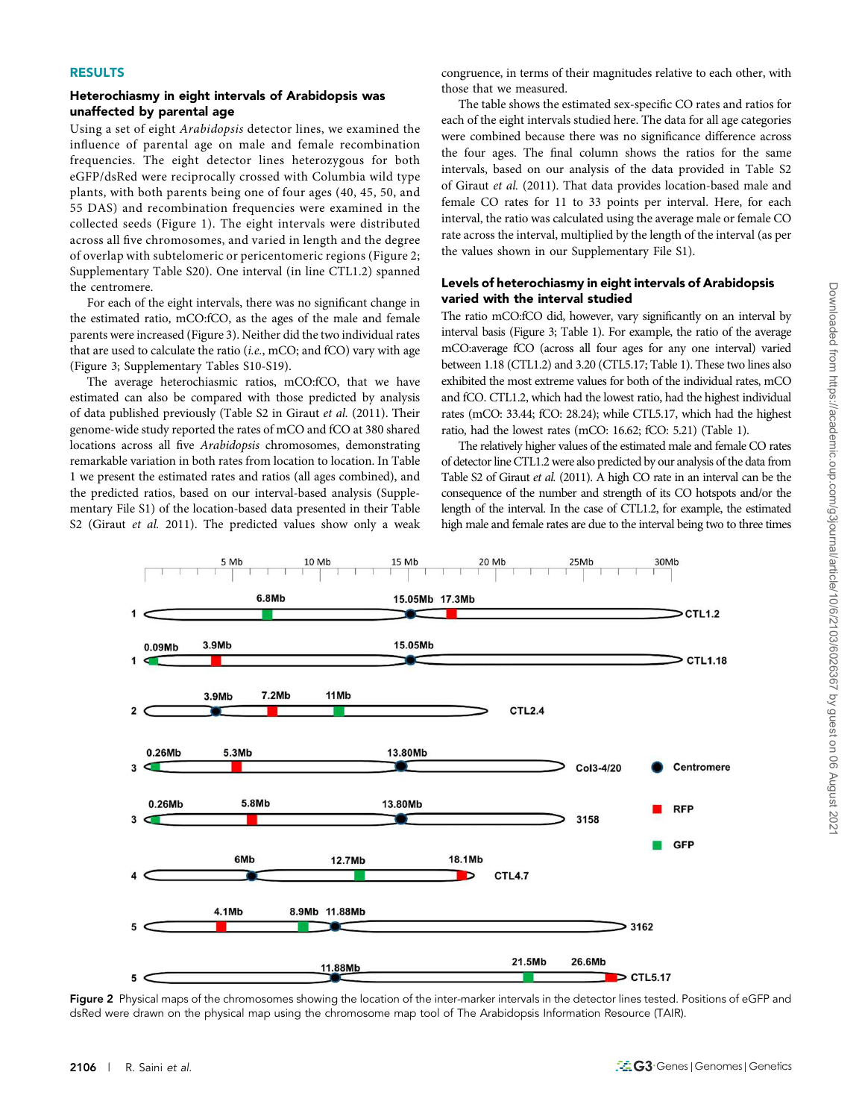#### RESULTS

#### Heterochiasmy in eight intervals of Arabidopsis was unaffected by parental age

Using a set of eight *Arabidopsis* detector lines, we examined the influence of parental age on male and female recombination frequencies. The eight detector lines heterozygous for both eGFP/dsRed were reciprocally crossed with Columbia wild type plants, with both parents being one of four ages (40, 45, 50, and 55 DAS) and recombination frequencies were examined in the collected seeds (Figure 1). The eight intervals were distributed across all five chromosomes, and varied in length and the degree of overlap with subtelomeric or pericentomeric regions (Figure 2; Supplementary Table S20). One interval (in line CTL1.2) spanned the centromere.

For each of the eight intervals, there was no significant change in the estimated ratio, mCO:fCO, as the ages of the male and female parents were increased (Figure 3). Neither did the two individual rates that are used to calculate the ratio (*i.e.*, mCO; and fCO) vary with age (Figure 3; Supplementary Tables S10-S19).

The average heterochiasmic ratios, mCO:fCO, that we have estimated can also be compared with those predicted by analysis of data published previously (Table S2 in Giraut *et al.* (2011). Their genome-wide study reported the rates of mCO and fCO at 380 shared locations across all five *Arabidopsis* chromosomes, demonstrating remarkable variation in both rates from location to location. In Table 1 we present the estimated rates and ratios (all ages combined), and the predicted ratios, based on our interval-based analysis (Supplementary File S1) of the location-based data presented in their Table S2 (Giraut *et al.* 2011). The predicted values show only a weak

congruence, in terms of their magnitudes relative to each other, with those that we measured.

The table shows the estimated sex-specific CO rates and ratios for each of the eight intervals studied here. The data for all age categories were combined because there was no significance difference across the four ages. The final column shows the ratios for the same intervals, based on our analysis of the data provided in Table S2 of Giraut *et al.* (2011). That data provides location-based male and female CO rates for 11 to 33 points per interval. Here, for each interval, the ratio was calculated using the average male or female CO rate across the interval, multiplied by the length of the interval (as per the values shown in our Supplementary File S1).

## Levels of heterochiasmy in eight intervals of Arabidopsis varied with the interval studied

The ratio mCO:fCO did, however, vary significantly on an interval by interval basis (Figure 3; Table 1). For example, the ratio of the average mCO:average fCO (across all four ages for any one interval) varied between 1.18 (CTL1.2) and 3.20 (CTL5.17; Table 1). These two lines also exhibited the most extreme values for both of the individual rates, mCO and fCO. CTL1.2, which had the lowest ratio, had the highest individual rates (mCO: 33.44; fCO: 28.24); while CTL5.17, which had the highest ratio, had the lowest rates (mCO: 16.62; fCO: 5.21) (Table 1).

The relatively higher values of the estimated male and female CO rates of detector line CTL1.2 were also predicted by our analysis of the data from Table S2 of Giraut *et al.* (2011). A high CO rate in an interval can be the consequence of the number and strength of its CO hotspots and/or the length of the interval. In the case of CTL1.2, for example, the estimated high male and female rates are due to the interval being two to three times



Figure 2 Physical maps of the chromosomes showing the location of the inter-marker intervals in the detector lines tested. Positions of eGFP and dsRed were drawn on the physical map using the chromosome map tool of The Arabidopsis Information Resource (TAIR).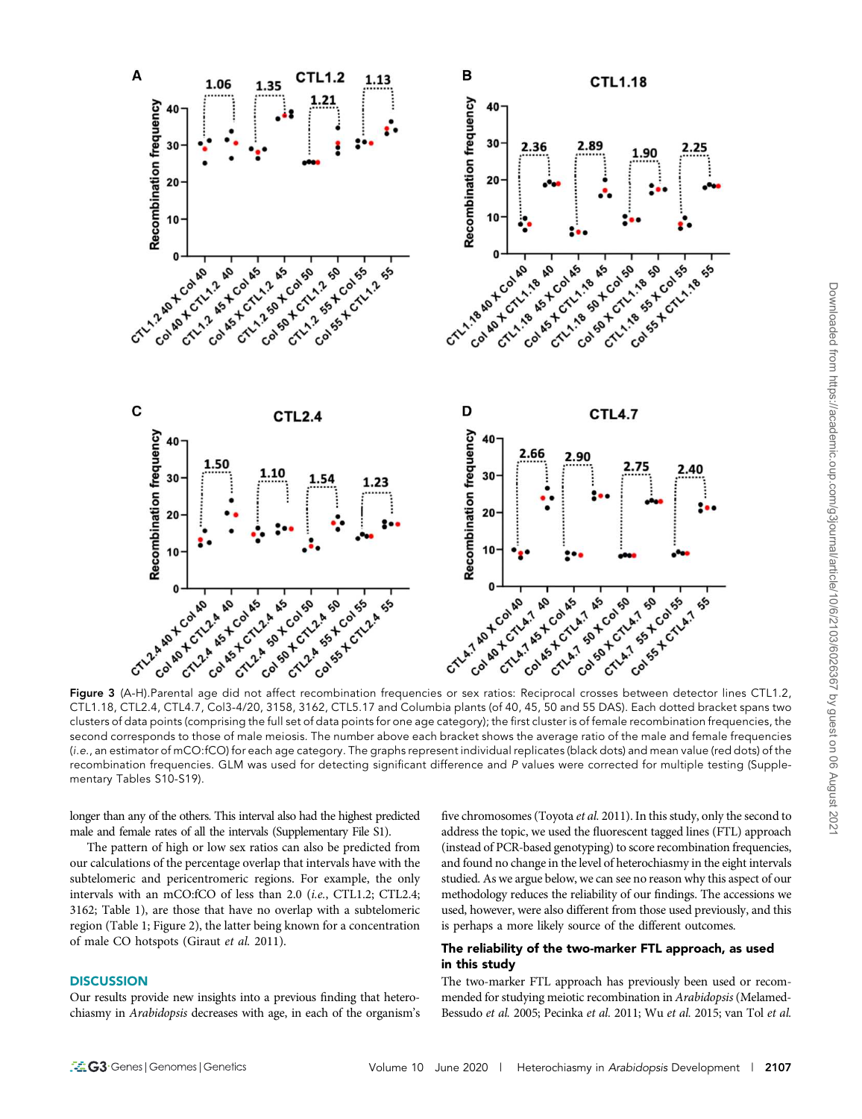

CTL1.18, CTL2.4, CTL4.7, Col3-4/20, 3158, 3162, CTL5.17 and Columbia plants (of 40, 45, 50 and 55 DAS). Each dotted bracket spans two clusters of data points (comprising the full set of data points for one age category); the first cluster is of female recombination frequencies, the second corresponds to those of male meiosis. The number above each bracket shows the average ratio of the male and female frequencies (i.e., an estimator of mCO:fCO) for each age category. The graphs represent individual replicates (black dots) and mean value (red dots) of the recombination frequencies. GLM was used for detecting significant difference and P values were corrected for multiple testing (Supplementary Tables S10-S19).

longer than any of the others. This interval also had the highest predicted male and female rates of all the intervals (Supplementary File S1).

The pattern of high or low sex ratios can also be predicted from our calculations of the percentage overlap that intervals have with the subtelomeric and pericentromeric regions. For example, the only intervals with an mCO:fCO of less than 2.0 (*i.e.*, CTL1.2; CTL2.4; 3162; Table 1), are those that have no overlap with a subtelomeric region (Table 1; Figure 2), the latter being known for a concentration of male CO hotspots (Giraut *et al.* 2011).

## **DISCUSSION**

Our results provide new insights into a previous finding that heterochiasmy in *Arabidopsis* decreases with age, in each of the organism's

five chromosomes (Toyota *et al.* 2011). In this study, only the second to address the topic, we used the fluorescent tagged lines (FTL) approach (instead of PCR-based genotyping) to score recombination frequencies, and found no change in the level of heterochiasmy in the eight intervals studied. As we argue below, we can see no reason why this aspect of our methodology reduces the reliability of our findings. The accessions we used, however, were also different from those used previously, and this is perhaps a more likely source of the different outcomes.

# The reliability of the two-marker FTL approach, as used in this study

The two-marker FTL approach has previously been used or recommended for studying meiotic recombination in *Arabidopsis* (Melamed-Bessudo *et al.* 2005; Pecinka *et al.* 2011; Wu *et al.* 2015; van Tol *et al.*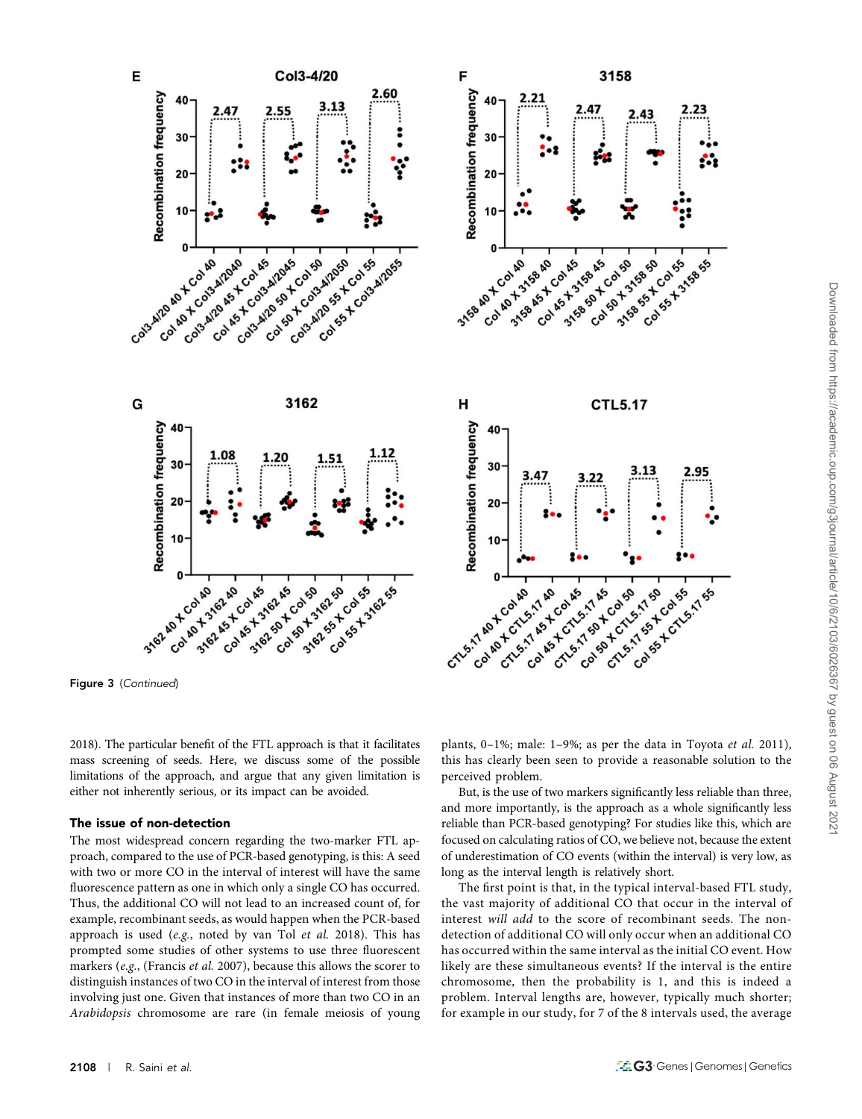

2018). The particular benefit of the FTL approach is that it facilitates mass screening of seeds. Here, we discuss some of the possible limitations of the approach, and argue that any given limitation is either not inherently serious, or its impact can be avoided.

#### The issue of non-detection

The most widespread concern regarding the two-marker FTL approach, compared to the use of PCR-based genotyping, is this: A seed with two or more CO in the interval of interest will have the same fluorescence pattern as one in which only a single CO has occurred. Thus, the additional CO will not lead to an increased count of, for example, recombinant seeds, as would happen when the PCR-based approach is used (*e.g.*, noted by van Tol *et al.* 2018). This has prompted some studies of other systems to use three fluorescent markers (*e.g.*, (Francis *et al.* 2007), because this allows the scorer to distinguish instances of two CO in the interval of interest from those involving just one. Given that instances of more than two CO in an *Arabidopsis* chromosome are rare (in female meiosis of young

plants, 0–1%; male: 1–9%; as per the data in Toyota *et al.* 2011), this has clearly been seen to provide a reasonable solution to the perceived problem.

But, is the use of two markers significantly less reliable than three, and more importantly, is the approach as a whole significantly less reliable than PCR-based genotyping? For studies like this, which are focused on calculating ratios of CO, we believe not, because the extent of underestimation of CO events (within the interval) is very low, as long as the interval length is relatively short.

The first point is that, in the typical interval-based FTL study, the vast majority of additional CO that occur in the interval of interest *will add* to the score of recombinant seeds. The nondetection of additional CO will only occur when an additional CO has occurred within the same interval as the initial CO event. How likely are these simultaneous events? If the interval is the entire chromosome, then the probability is 1, and this is indeed a problem. Interval lengths are, however, typically much shorter; for example in our study, for 7 of the 8 intervals used, the average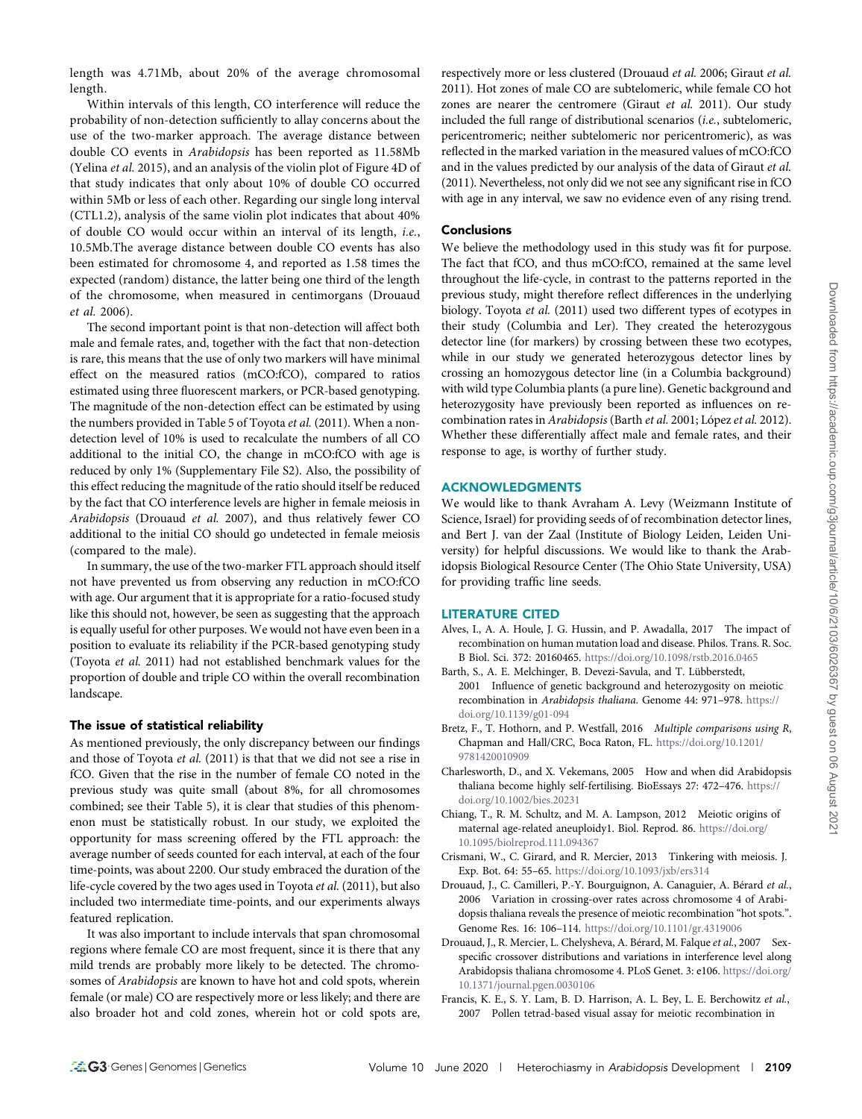length was 4.71Mb, about 20% of the average chromosomal length.

Within intervals of this length, CO interference will reduce the probability of non-detection sufficiently to allay concerns about the use of the two-marker approach. The average distance between double CO events in *Arabidopsis* has been reported as 11.58Mb (Yelina *et al.* 2015), and an analysis of the violin plot of Figure 4D of that study indicates that only about 10% of double CO occurred within 5Mb or less of each other. Regarding our single long interval (CTL1.2), analysis of the same violin plot indicates that about 40% of double CO would occur within an interval of its length, *i.e.*, 10.5Mb.The average distance between double CO events has also been estimated for chromosome 4, and reported as 1.58 times the expected (random) distance, the latter being one third of the length of the chromosome, when measured in centimorgans (Drouaud *et al.* 2006).

The second important point is that non-detection will affect both male and female rates, and, together with the fact that non-detection is rare, this means that the use of only two markers will have minimal effect on the measured ratios (mCO:fCO), compared to ratios estimated using three fluorescent markers, or PCR-based genotyping. The magnitude of the non-detection effect can be estimated by using the numbers provided in Table 5 of Toyota et al. (2011). When a nondetection level of 10% is used to recalculate the numbers of all CO additional to the initial CO, the change in mCO:fCO with age is reduced by only 1% (Supplementary File S2). Also, the possibility of this effect reducing the magnitude of the ratio should itself be reduced by the fact that CO interference levels are higher in female meiosis in *Arabidopsis* (Drouaud *et al.* 2007), and thus relatively fewer CO additional to the initial CO should go undetected in female meiosis (compared to the male).

In summary, the use of the two-marker FTL approach should itself not have prevented us from observing any reduction in mCO:fCO with age. Our argument that it is appropriate for a ratio-focused study like this should not, however, be seen as suggesting that the approach is equally useful for other purposes. We would not have even been in a position to evaluate its reliability if the PCR-based genotyping study (Toyota *et al.* 2011) had not established benchmark values for the proportion of double and triple CO within the overall recombination landscape.

## The issue of statistical reliability

As mentioned previously, the only discrepancy between our findings and those of Toyota *et al.* (2011) is that that we did not see a rise in fCO. Given that the rise in the number of female CO noted in the previous study was quite small (about 8%, for all chromosomes combined; see their Table 5), it is clear that studies of this phenomenon must be statistically robust. In our study, we exploited the opportunity for mass screening offered by the FTL approach: the average number of seeds counted for each interval, at each of the four time-points, was about 2200. Our study embraced the duration of the life-cycle covered by the two ages used in Toyota *et al.* (2011), but also included two intermediate time-points, and our experiments always featured replication.

It was also important to include intervals that span chromosomal regions where female CO are most frequent, since it is there that any mild trends are probably more likely to be detected. The chromosomes of *Arabidopsis* are known to have hot and cold spots, wherein female (or male) CO are respectively more or less likely; and there are also broader hot and cold zones, wherein hot or cold spots are,

respectively more or less clustered (Drouaud *et al.* 2006; Giraut *et al.* 2011). Hot zones of male CO are subtelomeric, while female CO hot zones are nearer the centromere (Giraut *et al.* 2011). Our study included the full range of distributional scenarios (*i.e.*, subtelomeric, pericentromeric; neither subtelomeric nor pericentromeric), as was reflected in the marked variation in the measured values of mCO:fCO and in the values predicted by our analysis of the data of Giraut *et al.* (2011). Nevertheless, not only did we not see any significant rise in fCO with age in any interval, we saw no evidence even of any rising trend.

#### **Conclusions**

We believe the methodology used in this study was fit for purpose. The fact that fCO, and thus mCO:fCO, remained at the same level throughout the life-cycle, in contrast to the patterns reported in the previous study, might therefore reflect differences in the underlying biology. Toyota *et al.* (2011) used two different types of ecotypes in their study (Columbia and Ler). They created the heterozygous detector line (for markers) by crossing between these two ecotypes, while in our study we generated heterozygous detector lines by crossing an homozygous detector line (in a Columbia background) with wild type Columbia plants (a pure line). Genetic background and heterozygosity have previously been reported as influences on recombination rates in *Arabidopsis* (Barth *et al.* 2001; López *et al.* 2012). Whether these differentially affect male and female rates, and their response to age, is worthy of further study.

#### ACKNOWLEDGMENTS

We would like to thank Avraham A. Levy (Weizmann Institute of Science, Israel) for providing seeds of of recombination detector lines, and Bert J. van der Zaal (Institute of Biology Leiden, Leiden University) for helpful discussions. We would like to thank the Arabidopsis Biological Resource Center (The Ohio State University, USA) for providing traffic line seeds.

#### LITERATURE CITED

- Alves, I., A. A. Houle, J. G. Hussin, and P. Awadalla, 2017 The impact of recombination on human mutation load and disease. Philos. Trans. R. Soc. B Biol. Sci. 372: 20160465. https://doi.org/10.1098/rstb.2016.0465
- Barth, S., A. E. Melchinger, B. Devezi-Savula, and T. Lübberstedt, 2001 Influence of genetic background and heterozygosity on meiotic recombination in *Arabidopsis thaliana*. Genome 44: 971–978. https:// doi.org/10.1139/g01-094
- Bretz, F., T. Hothorn, and P. Westfall, 2016 *Multiple comparisons using R*, Chapman and Hall/CRC, Boca Raton, FL. https://doi.org/10.1201/ 9781420010909
- Charlesworth, D., and X. Vekemans, 2005 How and when did Arabidopsis thaliana become highly self-fertilising. BioEssays 27: 472–476. https:// doi.org/10.1002/bies.20231
- Chiang, T., R. M. Schultz, and M. A. Lampson, 2012 Meiotic origins of maternal age-related aneuploidy1. Biol. Reprod. 86. https://doi.org/ 10.1095/biolreprod.111.094367
- Crismani, W., C. Girard, and R. Mercier, 2013 Tinkering with meiosis. J. Exp. Bot. 64: 55–65. https://doi.org/10.1093/jxb/ers314
- Drouaud, J., C. Camilleri, P.-Y. Bourguignon, A. Canaguier, A. Bérard *et al.*, 2006 Variation in crossing-over rates across chromosome 4 of Arabidopsis thaliana reveals the presence of meiotic recombination "hot spots.". Genome Res. 16: 106–114. https://doi.org/10.1101/gr.4319006
- Drouaud, J., R. Mercier, L. Chelysheva, A. Bérard, M. Falque *et al.*, 2007 Sexspecific crossover distributions and variations in interference level along Arabidopsis thaliana chromosome 4. PLoS Genet. 3: e106. https://doi.org/ 10.1371/journal.pgen.0030106
- Francis, K. E., S. Y. Lam, B. D. Harrison, A. L. Bey, L. E. Berchowitz *et al.*, 2007 Pollen tetrad-based visual assay for meiotic recombination in